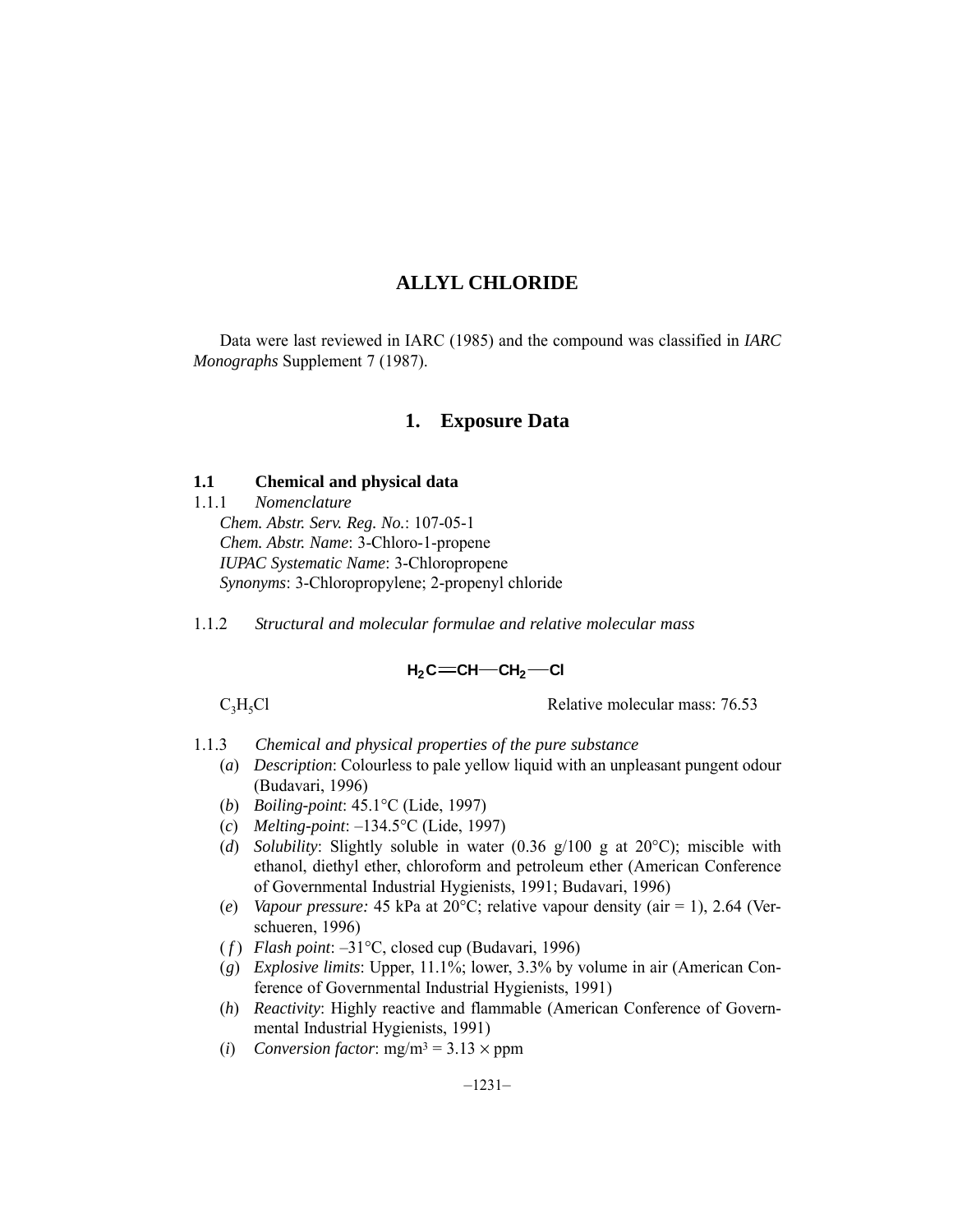Data were last reviewed in IARC (1985) and the compound was classified in *IARC Monographs* Supplement 7 (1987).

## **1. Exposure Data**

## **1.1 Chemical and physical data**

1.1.1 *Nomenclature Chem. Abstr. Serv. Reg. No.*: 107-05-1 *Chem. Abstr. Name*: 3-Chloro-1-propene *IUPAC Systematic Name*: 3-Chloropropene *Synonyms*: 3-Chloropropylene; 2-propenyl chloride

1.1.2 *Structural and molecular formulae and relative molecular mass*

## $H_2C = CH - CH_2 - Cl$

 $C_3H_5Cl$  Relative molecular mass: 76.53

- 1.1.3 *Chemical and physical properties of the pure substance*
	- (*a*) *Description*: Colourless to pale yellow liquid with an unpleasant pungent odour (Budavari, 1996)
	- (*b*) *Boiling-point*: 45.1°C (Lide, 1997)
	- (*c*) *Melting-point*: –134.5°C (Lide, 1997)
	- (*d*) *Solubility*: Slightly soluble in water (0.36 g/100 g at 20°C); miscible with ethanol, diethyl ether, chloroform and petroleum ether (American Conference of Governmental Industrial Hygienists, 1991; Budavari, 1996)
	- (*e*) *Vapour pressure:* 45 kPa at 20°C; relative vapour density (air = 1), 2.64 (Verschueren, 1996)
	- ( *f* ) *Flash point*: –31°C, closed cup (Budavari, 1996)
	- (*g*) *Explosive limits*: Upper, 11.1%; lower, 3.3% by volume in air (American Conference of Governmental Industrial Hygienists, 1991)
	- (*h*) *Reactivity*: Highly reactive and flammable (American Conference of Governmental Industrial Hygienists, 1991)
	- (*i*) *Conversion factor*:  $mg/m^3 = 3.13 \times ppm$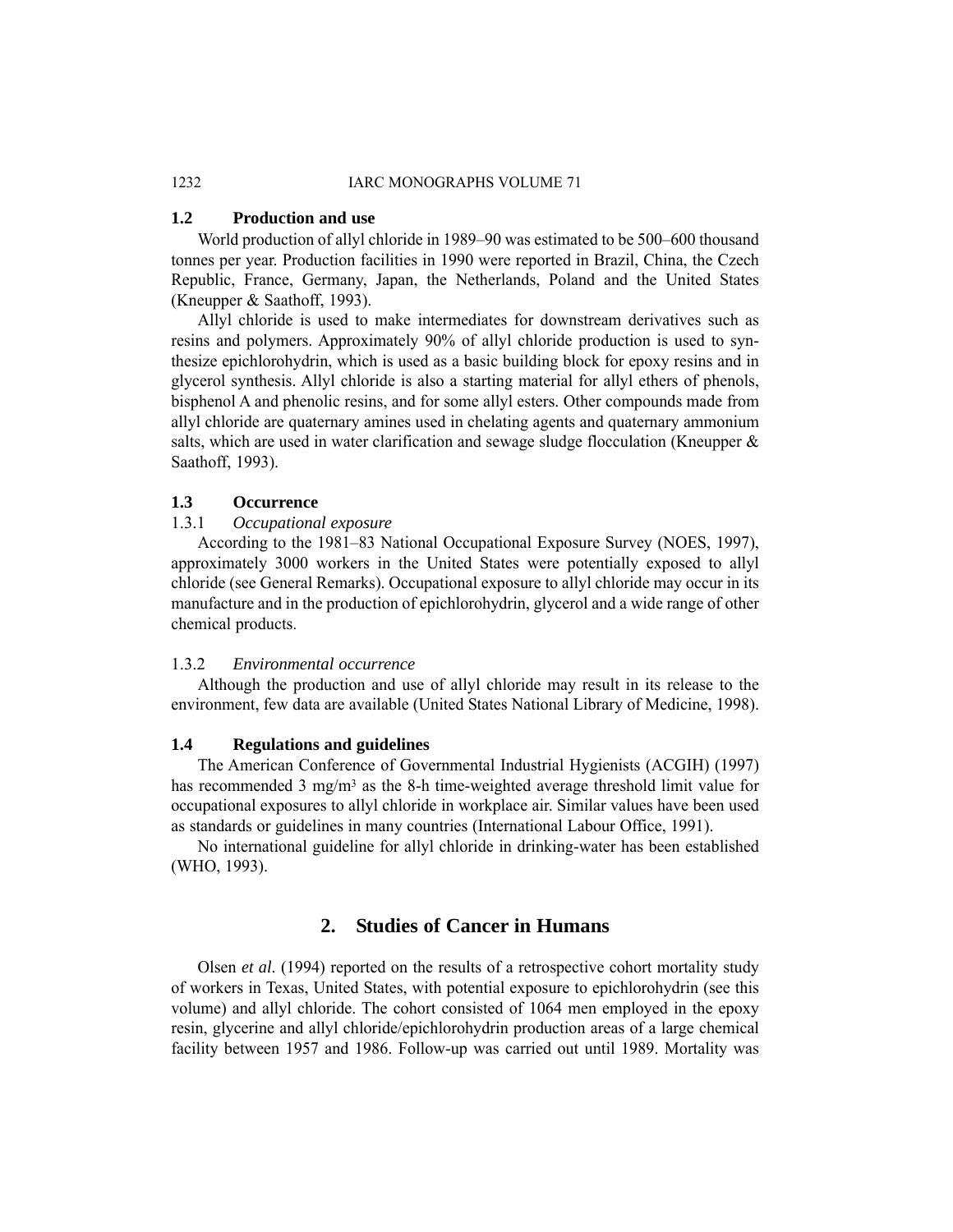## 1232 IARC MONOGRAPHS VOLUME 71

## **1.2 Production and use**

World production of allyl chloride in 1989–90 was estimated to be 500–600 thousand tonnes per year. Production facilities in 1990 were reported in Brazil, China, the Czech Republic, France, Germany, Japan, the Netherlands, Poland and the United States (Kneupper & Saathoff, 1993).

Allyl chloride is used to make intermediates for downstream derivatives such as resins and polymers. Approximately 90% of allyl chloride production is used to synthesize epichlorohydrin, which is used as a basic building block for epoxy resins and in glycerol synthesis. Allyl chloride is also a starting material for allyl ethers of phenols, bisphenol A and phenolic resins, and for some allyl esters. Other compounds made from allyl chloride are quaternary amines used in chelating agents and quaternary ammonium salts, which are used in water clarification and sewage sludge flocculation (Kneupper  $\&$ Saathoff, 1993).

## **1.3 Occurrence**

## 1.3.1 *Occupational exposure*

According to the 1981–83 National Occupational Exposure Survey (NOES, 1997), approximately 3000 workers in the United States were potentially exposed to allyl chloride (see General Remarks). Occupational exposure to allyl chloride may occur in its manufacture and in the production of epichlorohydrin, glycerol and a wide range of other chemical products.

## 1.3.2 *Environmental occurrence*

Although the production and use of allyl chloride may result in its release to the environment, few data are available (United States National Library of Medicine, 1998).

## **1.4 Regulations and guidelines**

The American Conference of Governmental Industrial Hygienists (ACGIH) (1997) has recommended 3 mg/m<sup>3</sup> as the 8-h time-weighted average threshold limit value for occupational exposures to allyl chloride in workplace air. Similar values have been used as standards or guidelines in many countries (International Labour Office, 1991).

No international guideline for allyl chloride in drinking-water has been established (WHO, 1993).

## **2. Studies of Cancer in Humans**

Olsen *et al*. (1994) reported on the results of a retrospective cohort mortality study of workers in Texas, United States, with potential exposure to epichlorohydrin (see this volume) and allyl chloride. The cohort consisted of 1064 men employed in the epoxy resin, glycerine and allyl chloride/epichlorohydrin production areas of a large chemical facility between 1957 and 1986. Follow-up was carried out until 1989. Mortality was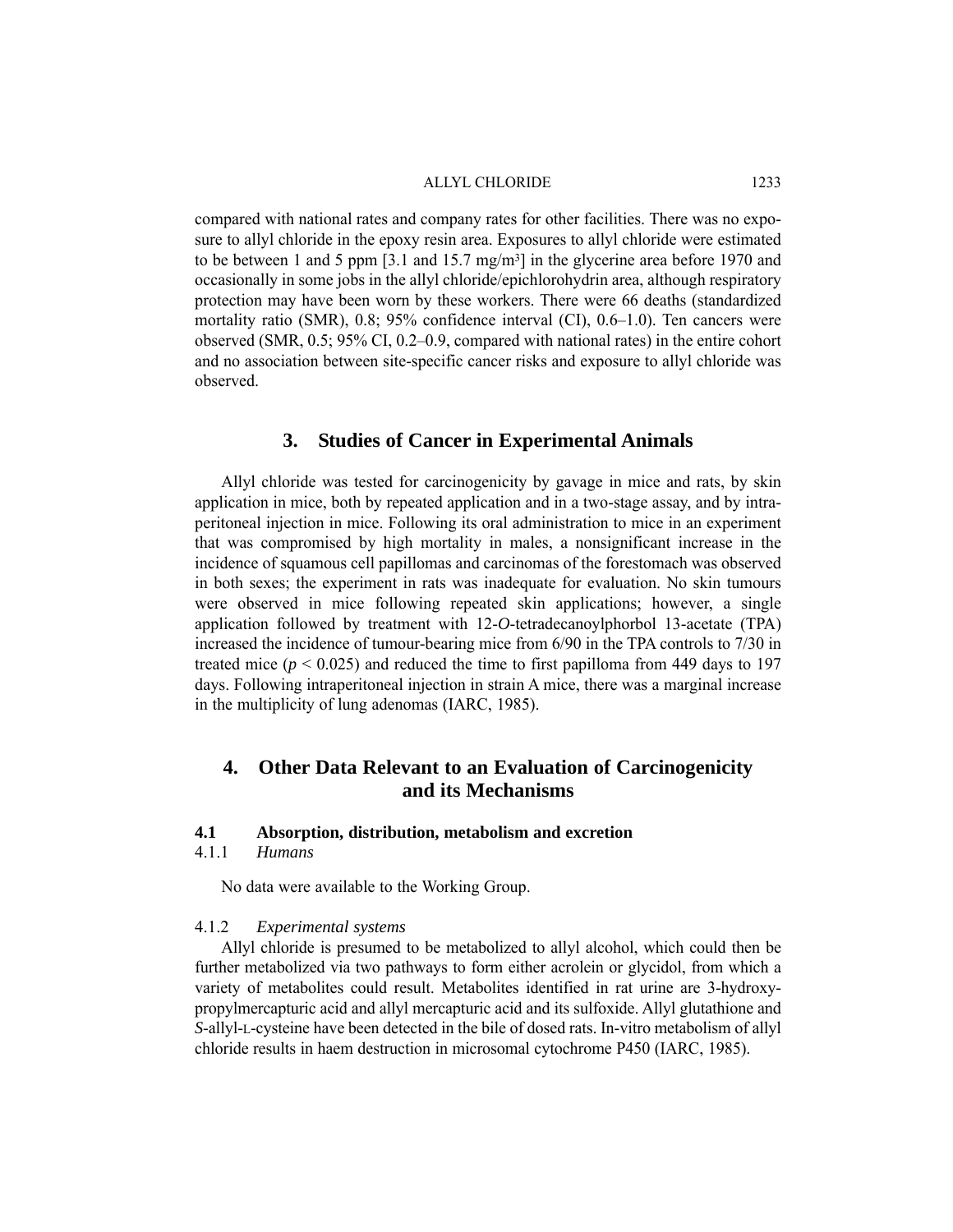compared with national rates and company rates for other facilities. There was no exposure to allyl chloride in the epoxy resin area. Exposures to allyl chloride were estimated to be between 1 and 5 ppm [3.1 and 15.7 mg/m3] in the glycerine area before 1970 and occasionally in some jobs in the allyl chloride/epichlorohydrin area, although respiratory protection may have been worn by these workers. There were 66 deaths (standardized mortality ratio (SMR), 0.8; 95% confidence interval (CI), 0.6–1.0). Ten cancers were observed (SMR, 0.5; 95% CI, 0.2–0.9, compared with national rates) in the entire cohort and no association between site-specific cancer risks and exposure to allyl chloride was observed.

## **3. Studies of Cancer in Experimental Animals**

Allyl chloride was tested for carcinogenicity by gavage in mice and rats, by skin application in mice, both by repeated application and in a two-stage assay, and by intraperitoneal injection in mice. Following its oral administration to mice in an experiment that was compromised by high mortality in males, a nonsignificant increase in the incidence of squamous cell papillomas and carcinomas of the forestomach was observed in both sexes; the experiment in rats was inadequate for evaluation. No skin tumours were observed in mice following repeated skin applications; however, a single application followed by treatment with 12-*O*-tetradecanoylphorbol 13-acetate (TPA) increased the incidence of tumour-bearing mice from 6/90 in the TPA controls to 7/30 in treated mice  $(p < 0.025)$  and reduced the time to first papilloma from 449 days to 197 days. Following intraperitoneal injection in strain A mice, there was a marginal increase in the multiplicity of lung adenomas (IARC, 1985).

## **4. Other Data Relevant to an Evaluation of Carcinogenicity and its Mechanisms**

## **4.1 Absorption, distribution, metabolism and excretion**

4.1.1 *Humans*

No data were available to the Working Group.

## 4.1.2 *Experimental systems*

Allyl chloride is presumed to be metabolized to allyl alcohol, which could then be further metabolized via two pathways to form either acrolein or glycidol, from which a variety of metabolites could result. Metabolites identified in rat urine are 3-hydroxypropylmercapturic acid and allyl mercapturic acid and its sulfoxide. Allyl glutathione and *S*-allyl-L-cysteine have been detected in the bile of dosed rats. In-vitro metabolism of allyl chloride results in haem destruction in microsomal cytochrome P450 (IARC, 1985).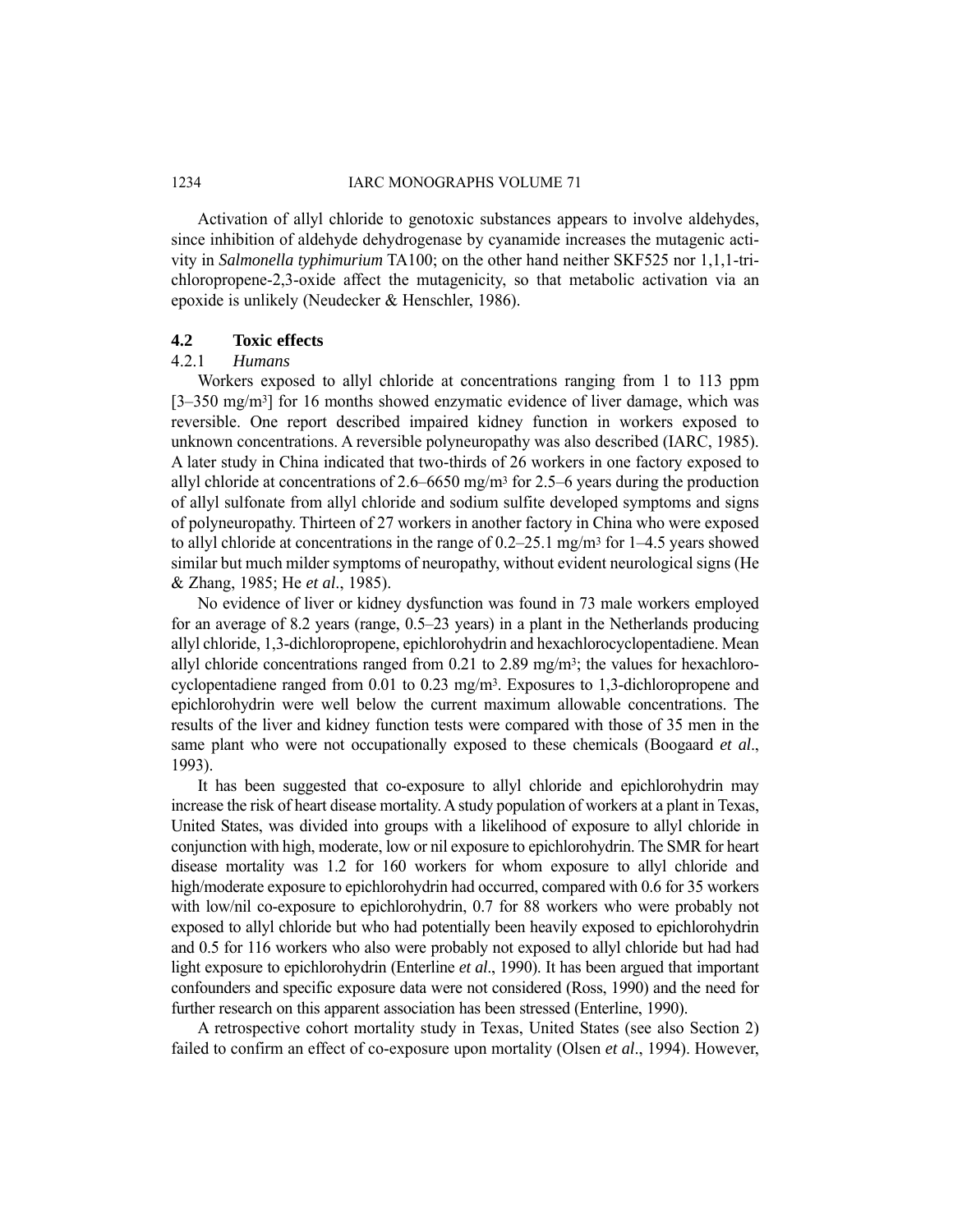Activation of allyl chloride to genotoxic substances appears to involve aldehydes, since inhibition of aldehyde dehydrogenase by cyanamide increases the mutagenic activity in *Salmonella typhimurium* TA100; on the other hand neither SKF525 nor 1,1,1-trichloropropene-2,3-oxide affect the mutagenicity, so that metabolic activation via an epoxide is unlikely (Neudecker & Henschler, 1986).

## **4.2 Toxic effects**

## 4.2.1 *Humans*

Workers exposed to allyl chloride at concentrations ranging from 1 to 113 ppm [3–350 mg/m<sup>3</sup>] for 16 months showed enzymatic evidence of liver damage, which was reversible. One report described impaired kidney function in workers exposed to unknown concentrations. A reversible polyneuropathy was also described (IARC, 1985). A later study in China indicated that two-thirds of 26 workers in one factory exposed to allyl chloride at concentrations of  $2.6-6650$  mg/m<sup>3</sup> for  $2.5-6$  years during the production of allyl sulfonate from allyl chloride and sodium sulfite developed symptoms and signs of polyneuropathy. Thirteen of 27 workers in another factory in China who were exposed to allyl chloride at concentrations in the range of  $0.2-25.1$  mg/m<sup>3</sup> for  $1-4.5$  years showed similar but much milder symptoms of neuropathy, without evident neurological signs (He & Zhang, 1985; He *et al*., 1985).

No evidence of liver or kidney dysfunction was found in 73 male workers employed for an average of 8.2 years (range, 0.5–23 years) in a plant in the Netherlands producing allyl chloride, 1,3-dichloropropene, epichlorohydrin and hexachlorocyclopentadiene. Mean allyl chloride concentrations ranged from 0.21 to 2.89 mg/m<sup>3</sup>; the values for hexachlorocyclopentadiene ranged from 0.01 to 0.23 mg/m3. Exposures to 1,3-dichloropropene and epichlorohydrin were well below the current maximum allowable concentrations. The results of the liver and kidney function tests were compared with those of 35 men in the same plant who were not occupationally exposed to these chemicals (Boogaard *et al*., 1993).

It has been suggested that co-exposure to allyl chloride and epichlorohydrin may increase the risk of heart disease mortality. A study population of workers at a plant in Texas, United States, was divided into groups with a likelihood of exposure to allyl chloride in conjunction with high, moderate, low or nil exposure to epichlorohydrin. The SMR for heart disease mortality was 1.2 for 160 workers for whom exposure to allyl chloride and high/moderate exposure to epichlorohydrin had occurred, compared with 0.6 for 35 workers with low/nil co-exposure to epichlorohydrin, 0.7 for 88 workers who were probably not exposed to allyl chloride but who had potentially been heavily exposed to epichlorohydrin and 0.5 for 116 workers who also were probably not exposed to allyl chloride but had had light exposure to epichlorohydrin (Enterline *et al*., 1990). It has been argued that important confounders and specific exposure data were not considered (Ross, 1990) and the need for further research on this apparent association has been stressed (Enterline, 1990).

A retrospective cohort mortality study in Texas, United States (see also Section 2) failed to confirm an effect of co-exposure upon mortality (Olsen *et al*., 1994). However,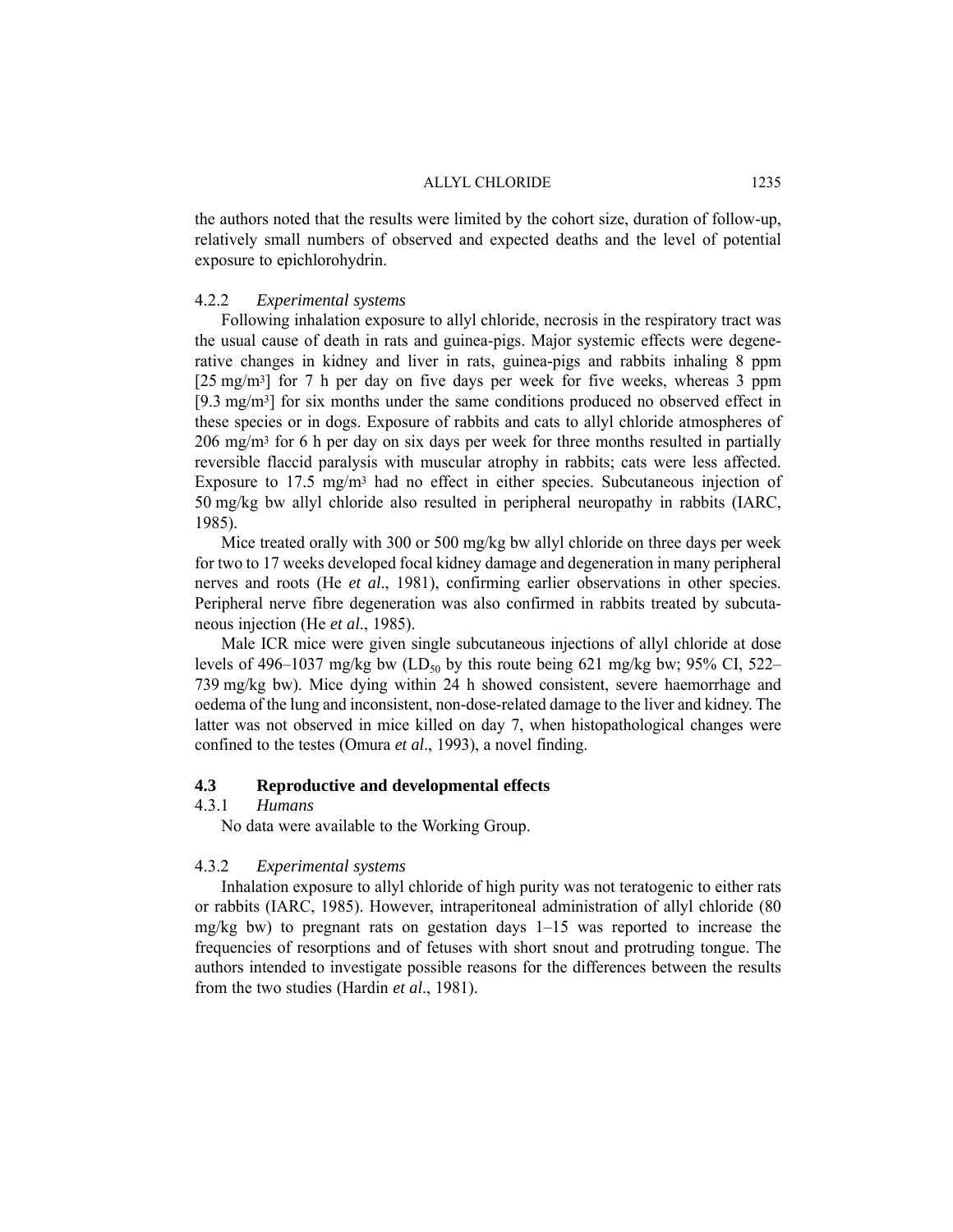the authors noted that the results were limited by the cohort size, duration of follow-up, relatively small numbers of observed and expected deaths and the level of potential exposure to epichlorohydrin.

## 4.2.2 *Experimental systems*

Following inhalation exposure to allyl chloride, necrosis in the respiratory tract was the usual cause of death in rats and guinea-pigs. Major systemic effects were degenerative changes in kidney and liver in rats, guinea-pigs and rabbits inhaling 8 ppm [25 mg/m<sup>3</sup>] for 7 h per day on five days per week for five weeks, whereas 3 ppm [9.3 mg/m3] for six months under the same conditions produced no observed effect in these species or in dogs. Exposure of rabbits and cats to allyl chloride atmospheres of 206 mg/m3 for 6 h per day on six days per week for three months resulted in partially reversible flaccid paralysis with muscular atrophy in rabbits; cats were less affected. Exposure to 17.5 mg/m3 had no effect in either species. Subcutaneous injection of 50 mg/kg bw allyl chloride also resulted in peripheral neuropathy in rabbits (IARC, 1985).

Mice treated orally with 300 or 500 mg/kg bw allyl chloride on three days per week for two to 17 weeks developed focal kidney damage and degeneration in many peripheral nerves and roots (He *et al*., 1981), confirming earlier observations in other species. Peripheral nerve fibre degeneration was also confirmed in rabbits treated by subcutaneous injection (He *et al*., 1985).

Male ICR mice were given single subcutaneous injections of allyl chloride at dose levels of 496–1037 mg/kg bw (LD<sub>50</sub> by this route being 621 mg/kg bw; 95% CI, 522– 739 mg/kg bw). Mice dying within 24 h showed consistent, severe haemorrhage and oedema of the lung and inconsistent, non-dose-related damage to the liver and kidney. The latter was not observed in mice killed on day 7, when histopathological changes were confined to the testes (Omura *et al*., 1993), a novel finding.

## **4.3 Reproductive and developmental effects**

## 4.3.1 *Humans*

No data were available to the Working Group.

## 4.3.2 *Experimental systems*

Inhalation exposure to allyl chloride of high purity was not teratogenic to either rats or rabbits (IARC, 1985). However, intraperitoneal administration of allyl chloride (80  $mg/kg$  bw) to pregnant rats on gestation days  $1-15$  was reported to increase the frequencies of resorptions and of fetuses with short snout and protruding tongue. The authors intended to investigate possible reasons for the differences between the results from the two studies (Hardin *et al*., 1981).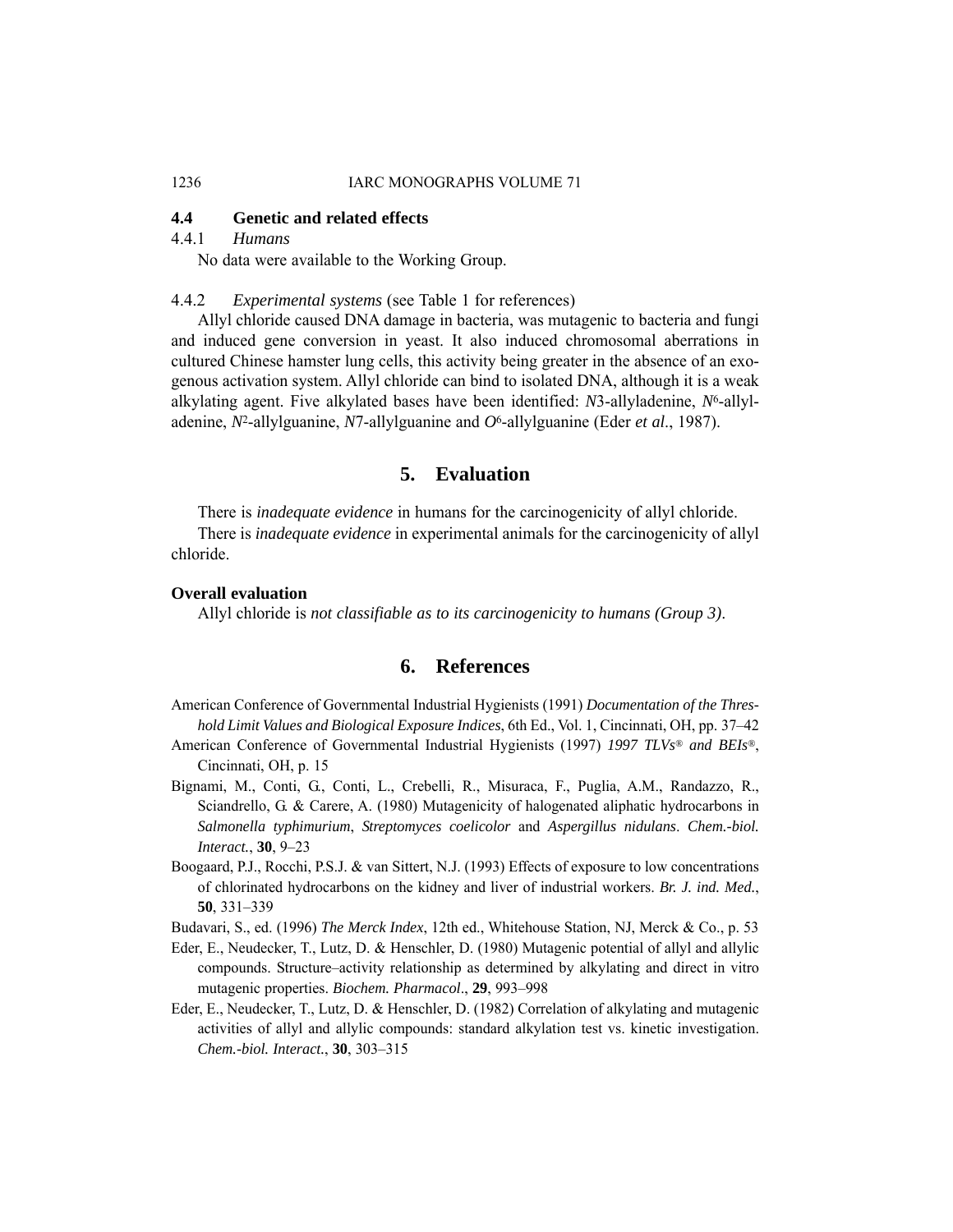### 1236 **IARC MONOGRAPHS VOLUME 71**

## **4.4 Genetic and related effects**

## 4.4.1 *Humans*

No data were available to the Working Group.

## 4.4.2 *Experimental systems* (see Table 1 for references)

Allyl chloride caused DNA damage in bacteria, was mutagenic to bacteria and fungi and induced gene conversion in yeast. It also induced chromosomal aberrations in cultured Chinese hamster lung cells, this activity being greater in the absence of an exogenous activation system. Allyl chloride can bind to isolated DNA, although it is a weak alkylating agent. Five alkylated bases have been identified: *N*3-allyladenine, *N*6-allyladenine, *N*2-allylguanine, *N*7-allylguanine and *O*6-allylguanine (Eder *et al*., 1987).

## **5. Evaluation**

There is *inadequate evidence* in humans for the carcinogenicity of allyl chloride.

There is *inadequate evidence* in experimental animals for the carcinogenicity of allyl chloride.

## **Overall evaluation**

Allyl chloride is *not classifiable as to its carcinogenicity to humans (Group 3)*.

## **6. References**

- American Conference of Governmental Industrial Hygienists (1991) *Documentation of the Threshold Limit Values and Biological Exposure Indices*, 6th Ed., Vol. 1, Cincinnati, OH, pp. 37–42
- American Conference of Governmental Industrial Hygienists (1997) *1997 TLVs® and BEIs®*, Cincinnati, OH, p. 15
- Bignami, M., Conti, G., Conti, L., Crebelli, R., Misuraca, F., Puglia, A.M., Randazzo, R., Sciandrello, G. & Carere, A. (1980) Mutagenicity of halogenated aliphatic hydrocarbons in *Salmonella typhimurium*, *Streptomyces coelicolor* and *Aspergillus nidulans*. *Chem.-biol. Interact.*, **30**, 9–23
- Boogaard, P.J., Rocchi, P.S.J. & van Sittert, N.J. (1993) Effects of exposure to low concentrations of chlorinated hydrocarbons on the kidney and liver of industrial workers. *Br. J. ind. Med.*, **50**, 331–339
- Budavari, S., ed. (1996) *The Merck Index*, 12th ed., Whitehouse Station, NJ, Merck & Co., p. 53
- Eder, E., Neudecker, T., Lutz, D. & Henschler, D. (1980) Mutagenic potential of allyl and allylic compounds. Structure–activity relationship as determined by alkylating and direct in vitro mutagenic properties. *Biochem. Pharmacol*., **29**, 993–998
- Eder, E., Neudecker, T., Lutz, D. & Henschler, D. (1982) Correlation of alkylating and mutagenic activities of allyl and allylic compounds: standard alkylation test vs. kinetic investigation. *Chem.-biol. Interact.*, **30**, 303–315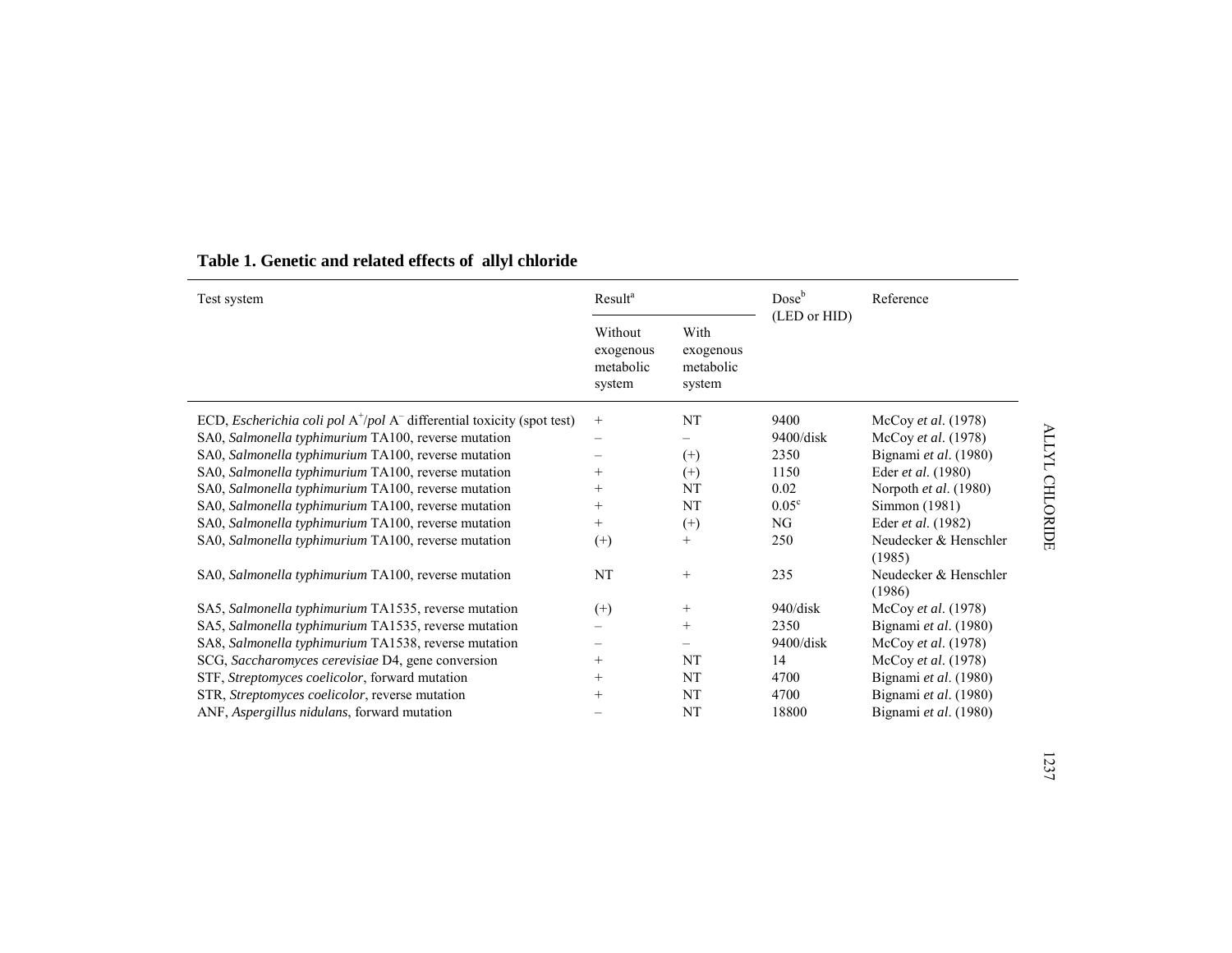| Test system                                                                      | Result <sup>a</sup>                         |                                          | Dose <sup>b</sup> | Reference                       |
|----------------------------------------------------------------------------------|---------------------------------------------|------------------------------------------|-------------------|---------------------------------|
|                                                                                  | Without<br>exogenous<br>metabolic<br>system | With<br>exogenous<br>metabolic<br>system | (LED or HID)      |                                 |
| ECD, <i>Escherichia coli pol</i> $A^+/pol A^-$ differential toxicity (spot test) | $\! + \!\!\!\!$                             | NT                                       | 9400              | McCoy et al. (1978)             |
| SA0, Salmonella typhimurium TA100, reverse mutation                              | -                                           |                                          | $9400$ /disk      | McCoy et al. (1978)             |
| SA0, Salmonella typhimurium TA100, reverse mutation                              |                                             | $^{(+)}$                                 | 2350              | Bignami et al. (1980)           |
| SA0, Salmonella typhimurium TA100, reverse mutation                              | $^{+}$                                      | $^{(+)}$                                 | 1150              | Eder et al. (1980)              |
| SA0, Salmonella typhimurium TA100, reverse mutation                              | $^+$                                        | NT                                       | 0.02              | Norpoth et al. (1980)           |
| SA0, Salmonella typhimurium TA100, reverse mutation                              | $^{+}$                                      | NT                                       | $0.05^{\circ}$    | Simmon (1981)                   |
| SA0, Salmonella typhimurium TA100, reverse mutation                              | $^{+}$                                      | $^{(+)}$                                 | NG                | Eder et al. (1982)              |
| SA0, Salmonella typhimurium TA100, reverse mutation                              | $^{(+)}$                                    | $^{+}$                                   | 250               | Neudecker & Henschler<br>(1985) |
| SA0, Salmonella typhimurium TA100, reverse mutation                              | NT                                          | $^{+}$                                   | 235               | Neudecker & Henschler<br>(1986) |
| SA5, Salmonella typhimurium TA1535, reverse mutation                             | $^{(+)}$                                    | $^{+}$                                   | 940/disk          | McCoy et al. (1978)             |
| SA5, Salmonella typhimurium TA1535, reverse mutation                             |                                             | $^{+}$                                   | 2350              | Bignami et al. (1980)           |
| SA8, Salmonella typhimurium TA1538, reverse mutation                             |                                             |                                          | 9400/disk         | McCoy et al. (1978)             |
| SCG, Saccharomyces cerevisiae D4, gene conversion                                | $^{+}$                                      | NT                                       | 14                | McCoy et al. (1978)             |
| STF, Streptomyces coelicolor, forward mutation                                   | $^{+}$                                      | NT                                       | 4700              | Bignami et al. (1980)           |
| STR, Streptomyces coelicolor, reverse mutation                                   | $^{+}$                                      | NT                                       | 4700              | Bignami et al. (1980)           |
| ANF, Aspergillus nidulans, forward mutation                                      |                                             | NT                                       | 18800             | Bignami et al. (1980)           |

# **Table 1. Genetic and related effects of allyl chloride**

ALLYL CHLORIDE ALLYL CHLORIDE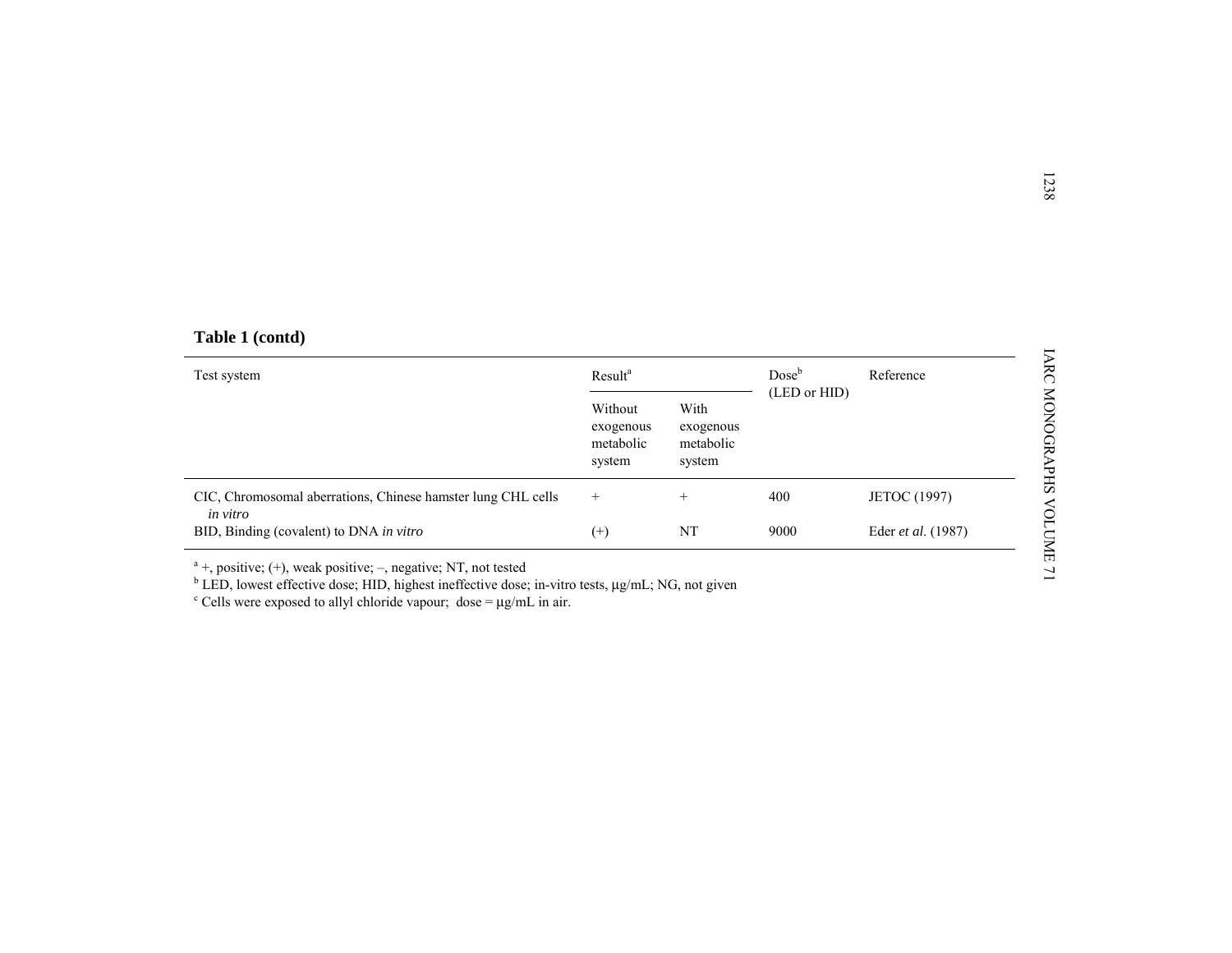|  | Table 1 (contd) |
|--|-----------------|
|  |                 |

| Table 1 (contd)                                                          |                                             |                                          |                                   |              |
|--------------------------------------------------------------------------|---------------------------------------------|------------------------------------------|-----------------------------------|--------------|
| Test system                                                              | Result <sup>a</sup>                         |                                          | Dose <sup>b</sup><br>(LED or HID) | Reference    |
|                                                                          | Without<br>exogenous<br>metabolic<br>system | With<br>exogenous<br>metabolic<br>system |                                   |              |
|                                                                          |                                             |                                          |                                   |              |
| CIC, Chromosomal aberrations, Chinese hamster lung CHL cells<br>in vitro | $^{+}$                                      | $^{+}$                                   | 400                               | JETOC (1997) |

<sup>a</sup> +, positive; (+), weak positive; –, negative; NT, not tested<br><sup>b</sup> LED, lowest effective dose; HID, highest ineffective dose; in-vitro tests,  $\mu g/mL$ ; NG, not given<br><sup>c</sup> Cells were exposed to allyl chloride vapour; dose =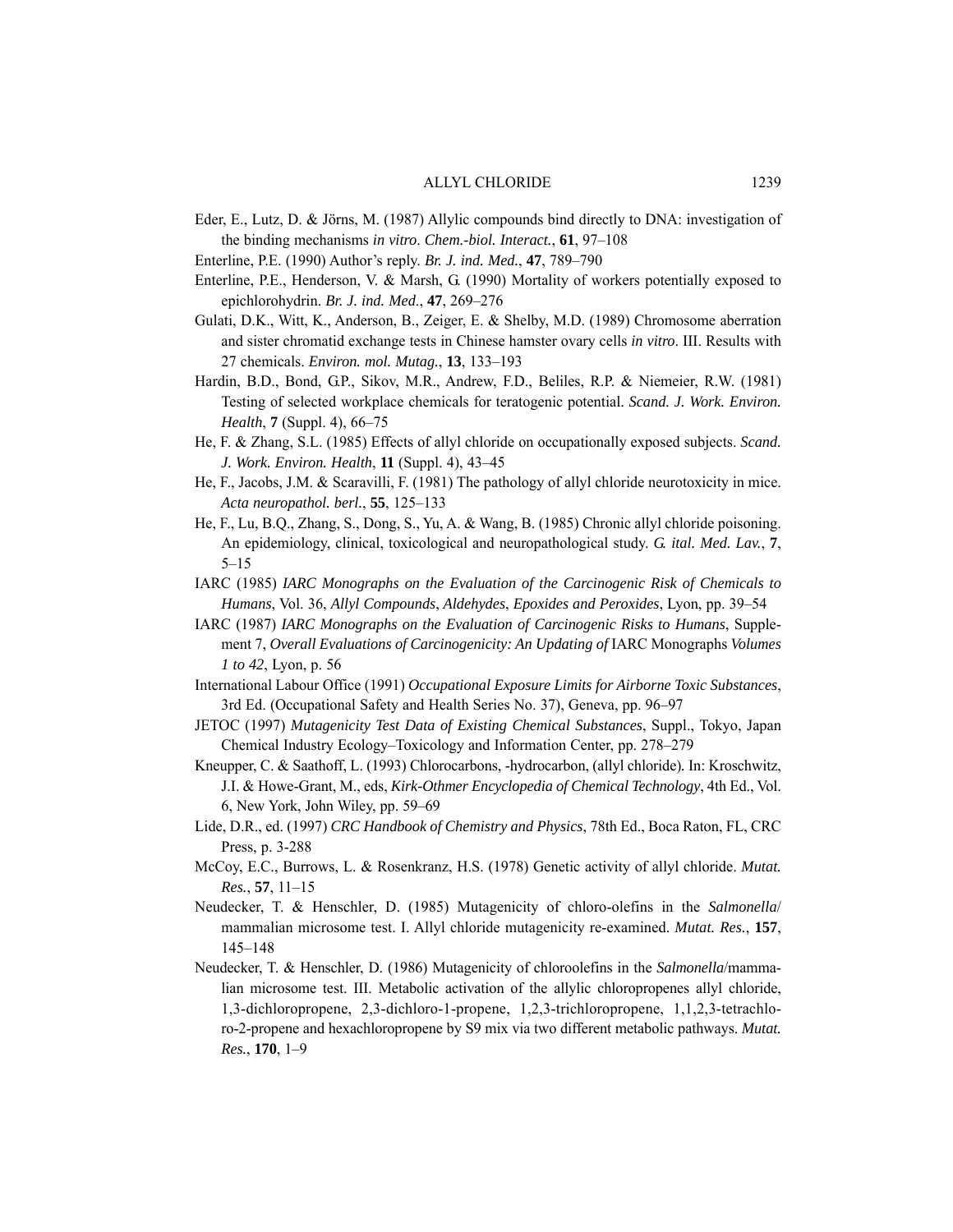- Eder, E., Lutz, D. & Jörns, M. (1987) Allylic compounds bind directly to DNA: investigation of the binding mechanisms *in vitro*. *Chem.-biol. Interact.*, **61**, 97–108
- Enterline, P.E. (1990) Author's reply. *Br. J. ind. Med.*, **47**, 789–790
- Enterline, P.E., Henderson, V. & Marsh, G. (1990) Mortality of workers potentially exposed to epichlorohydrin. *Br. J. ind. Med*., **47**, 269–276
- Gulati, D.K., Witt, K., Anderson, B., Zeiger, E. & Shelby, M.D. (1989) Chromosome aberration and sister chromatid exchange tests in Chinese hamster ovary cells *in vitro*. III. Results with 27 chemicals. *Environ. mol. Mutag.*, **13**, 133–193
- Hardin, B.D., Bond, G.P., Sikov, M.R., Andrew, F.D., Beliles, R.P. & Niemeier, R.W. (1981) Testing of selected workplace chemicals for teratogenic potential. *Scand. J. Work. Environ. Health*, **7** (Suppl. 4), 66–75
- He, F. & Zhang, S.L. (1985) Effects of allyl chloride on occupationally exposed subjects. *Scand. J. Work. Environ. Health*, **11** (Suppl. 4), 43–45
- He, F., Jacobs, J.M. & Scaravilli, F. (1981) The pathology of allyl chloride neurotoxicity in mice. *Acta neuropathol. berl.*, **55**, 125–133
- He, F., Lu, B.Q., Zhang, S., Dong, S., Yu, A. & Wang, B. (1985) Chronic allyl chloride poisoning. An epidemiology, clinical, toxicological and neuropathological study. *G. ital. Med. Lav.*, **7**, 5–15
- IARC (1985) *IARC Monographs on the Evaluation of the Carcinogenic Risk of Chemicals to Humans*, Vol. 36, *Allyl Compounds*, *Aldehydes*, *Epoxides and Peroxides*, Lyon, pp. 39–54
- IARC (1987) *IARC Monographs on the Evaluation of Carcinogenic Risks to Humans*, Supplement 7, *Overall Evaluations of Carcinogenicity: An Updating of* IARC Monographs *Volumes 1 to 42*, Lyon, p. 56
- International Labour Office (1991) *Occupational Exposure Limits for Airborne Toxic Substances*, 3rd Ed. (Occupational Safety and Health Series No. 37), Geneva, pp. 96–97
- JETOC (1997) *Mutagenicity Test Data of Existing Chemical Substances*, Suppl., Tokyo, Japan Chemical Industry Ecology–Toxicology and Information Center, pp. 278–279
- Kneupper, C. & Saathoff, L. (1993) Chlorocarbons, -hydrocarbon, (allyl chloride)*.* In: Kroschwitz, J.I. & Howe-Grant, M., eds, *Kirk-Othmer Encyclopedia of Chemical Technology*, 4th Ed., Vol. 6, New York, John Wiley, pp. 59–69
- Lide, D.R., ed. (1997) *CRC Handbook of Chemistry and Physics*, 78th Ed., Boca Raton, FL, CRC Press, p. 3-288
- McCoy, E.C., Burrows, L. & Rosenkranz, H.S. (1978) Genetic activity of allyl chloride. *Mutat. Res.*, **57**, 11–15
- Neudecker, T. & Henschler, D. (1985) Mutagenicity of chloro-olefins in the *Salmonella*/ mammalian microsome test. I. Allyl chloride mutagenicity re-examined. *Mutat. Res.*, **157**, 145–148
- Neudecker, T. & Henschler, D. (1986) Mutagenicity of chloroolefins in the *Salmonella*/mammalian microsome test. III. Metabolic activation of the allylic chloropropenes allyl chloride, 1,3-dichloropropene, 2,3-dichloro-1-propene, 1,2,3-trichloropropene, 1,1,2,3-tetrachloro-2-propene and hexachloropropene by S9 mix via two different metabolic pathways. *Mutat. Res.*, **170**, 1–9